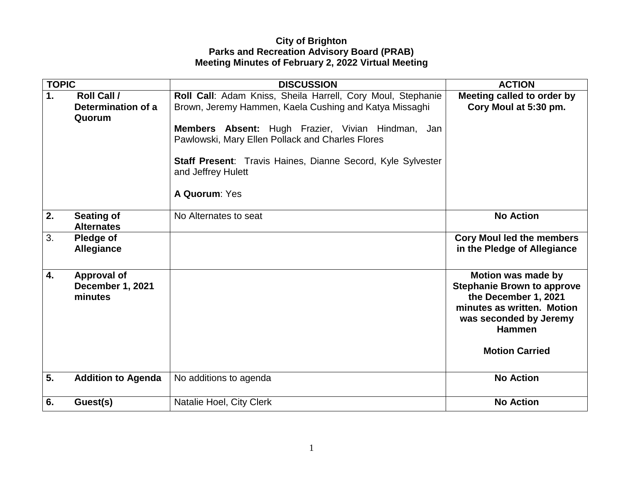## **City of Brighton Parks and Recreation Advisory Board (PRAB) Meeting Minutes of February 2, 2022 Virtual Meeting**

| <b>TOPIC</b> |                                                   | <b>DISCUSSION</b>                                                                                                                                                                                                                                                                                                                           | <b>ACTION</b>                                                                                                                                                                     |
|--------------|---------------------------------------------------|---------------------------------------------------------------------------------------------------------------------------------------------------------------------------------------------------------------------------------------------------------------------------------------------------------------------------------------------|-----------------------------------------------------------------------------------------------------------------------------------------------------------------------------------|
| 1.           | Roll Call /<br>Determination of a<br>Quorum       | Roll Call: Adam Kniss, Sheila Harrell, Cory Moul, Stephanie<br>Brown, Jeremy Hammen, Kaela Cushing and Katya Missaghi<br>Members Absent: Hugh Frazier, Vivian Hindman, Jan<br>Pawlowski, Mary Ellen Pollack and Charles Flores<br><b>Staff Present:</b> Travis Haines, Dianne Secord, Kyle Sylvester<br>and Jeffrey Hulett<br>A Quorum: Yes | Meeting called to order by<br>Cory Moul at 5:30 pm.                                                                                                                               |
| 2.           | <b>Seating of</b><br><b>Alternates</b>            | No Alternates to seat                                                                                                                                                                                                                                                                                                                       | <b>No Action</b>                                                                                                                                                                  |
| 3.           | Pledge of<br>Allegiance                           |                                                                                                                                                                                                                                                                                                                                             | <b>Cory Moul led the members</b><br>in the Pledge of Allegiance                                                                                                                   |
| 4.           | <b>Approval of</b><br>December 1, 2021<br>minutes |                                                                                                                                                                                                                                                                                                                                             | Motion was made by<br><b>Stephanie Brown to approve</b><br>the December 1, 2021<br>minutes as written. Motion<br>was seconded by Jeremy<br><b>Hammen</b><br><b>Motion Carried</b> |
| 5.           | <b>Addition to Agenda</b>                         | No additions to agenda                                                                                                                                                                                                                                                                                                                      | <b>No Action</b>                                                                                                                                                                  |
| 6.           | Guest(s)                                          | Natalie Hoel, City Clerk                                                                                                                                                                                                                                                                                                                    | <b>No Action</b>                                                                                                                                                                  |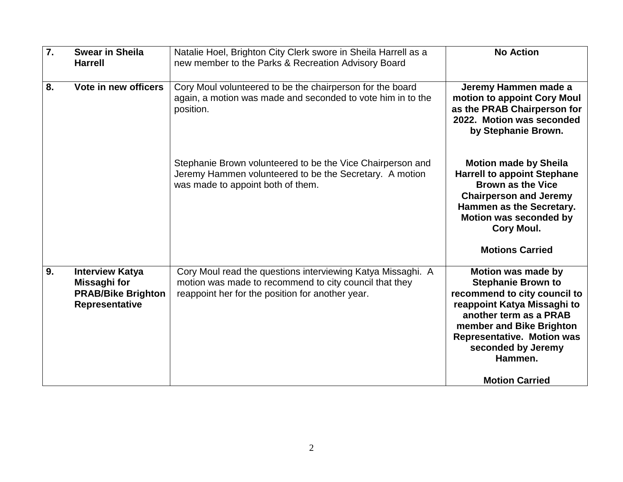| $\overline{7}$ . | <b>Swear in Sheila</b><br><b>Harrell</b>                                              | Natalie Hoel, Brighton City Clerk swore in Sheila Harrell as a<br>new member to the Parks & Recreation Advisory Board                                                     | <b>No Action</b>                                                                                                                                                                                                                                                    |
|------------------|---------------------------------------------------------------------------------------|---------------------------------------------------------------------------------------------------------------------------------------------------------------------------|---------------------------------------------------------------------------------------------------------------------------------------------------------------------------------------------------------------------------------------------------------------------|
| 8.               | Vote in new officers                                                                  | Cory Moul volunteered to be the chairperson for the board<br>again, a motion was made and seconded to vote him in to the<br>position.                                     | Jeremy Hammen made a<br>motion to appoint Cory Moul<br>as the PRAB Chairperson for<br>2022. Motion was seconded<br>by Stephanie Brown.                                                                                                                              |
|                  |                                                                                       | Stephanie Brown volunteered to be the Vice Chairperson and<br>Jeremy Hammen volunteered to be the Secretary. A motion<br>was made to appoint both of them.                | <b>Motion made by Sheila</b><br><b>Harrell to appoint Stephane</b><br><b>Brown as the Vice</b><br><b>Chairperson and Jeremy</b><br>Hammen as the Secretary.<br>Motion was seconded by<br>Cory Moul.<br><b>Motions Carried</b>                                       |
| 9.               | <b>Interview Katya</b><br>Missaghi for<br><b>PRAB/Bike Brighton</b><br>Representative | Cory Moul read the questions interviewing Katya Missaghi. A<br>motion was made to recommend to city council that they<br>reappoint her for the position for another year. | Motion was made by<br><b>Stephanie Brown to</b><br>recommend to city council to<br>reappoint Katya Missaghi to<br>another term as a PRAB<br>member and Bike Brighton<br><b>Representative. Motion was</b><br>seconded by Jeremy<br>Hammen.<br><b>Motion Carried</b> |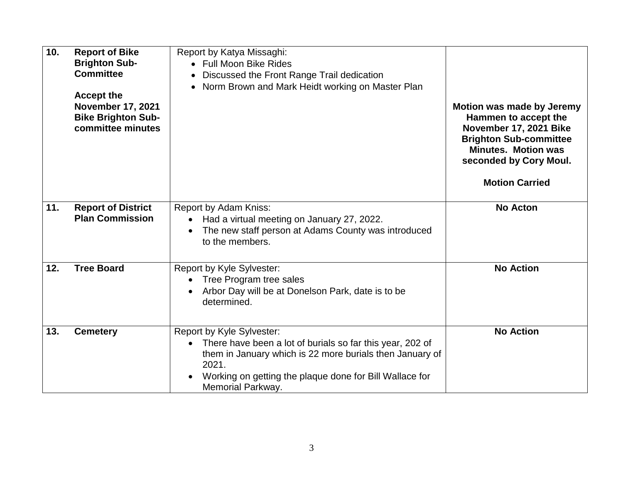| 10. | <b>Report of Bike</b><br><b>Brighton Sub-</b><br><b>Committee</b><br><b>Accept the</b><br><b>November 17, 2021</b><br><b>Bike Brighton Sub-</b><br>committee minutes | Report by Katya Missaghi:<br>• Full Moon Bike Rides<br>Discussed the Front Range Trail dedication<br>$\bullet$<br>Norm Brown and Mark Heidt working on Master Plan<br>$\bullet$                                                                          | Motion was made by Jeremy<br>Hammen to accept the<br>November 17, 2021 Bike<br><b>Brighton Sub-committee</b><br><b>Minutes. Motion was</b><br>seconded by Cory Moul.<br><b>Motion Carried</b> |
|-----|----------------------------------------------------------------------------------------------------------------------------------------------------------------------|----------------------------------------------------------------------------------------------------------------------------------------------------------------------------------------------------------------------------------------------------------|-----------------------------------------------------------------------------------------------------------------------------------------------------------------------------------------------|
| 11. | <b>Report of District</b><br><b>Plan Commission</b>                                                                                                                  | <b>Report by Adam Kniss:</b><br>Had a virtual meeting on January 27, 2022.<br>$\bullet$<br>The new staff person at Adams County was introduced<br>$\bullet$<br>to the members.                                                                           | <b>No Acton</b>                                                                                                                                                                               |
| 12. | <b>Tree Board</b>                                                                                                                                                    | Report by Kyle Sylvester:<br>Tree Program tree sales<br>Arbor Day will be at Donelson Park, date is to be<br>determined.                                                                                                                                 | <b>No Action</b>                                                                                                                                                                              |
| 13. | <b>Cemetery</b>                                                                                                                                                      | Report by Kyle Sylvester:<br>There have been a lot of burials so far this year, 202 of<br>$\bullet$<br>them in January which is 22 more burials then January of<br>2021.<br>Working on getting the plaque done for Bill Wallace for<br>Memorial Parkway. | <b>No Action</b>                                                                                                                                                                              |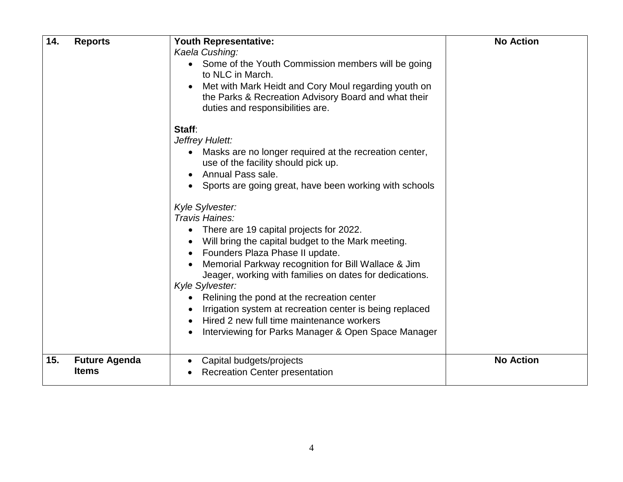| 14. | <b>Reports</b>                       | <b>Youth Representative:</b><br>Kaela Cushing:<br>• Some of the Youth Commission members will be going<br>to NLC in March.<br>Met with Mark Heidt and Cory Moul regarding youth on<br>the Parks & Recreation Advisory Board and what their<br>duties and responsibilities are.<br>Staff:<br>Jeffrey Hulett:<br>Masks are no longer required at the recreation center,<br>use of the facility should pick up.<br>Annual Pass sale.<br>Sports are going great, have been working with schools<br>Kyle Sylvester:<br>Travis Haines:<br>There are 19 capital projects for 2022.<br>Will bring the capital budget to the Mark meeting.<br>Founders Plaza Phase II update.<br>Memorial Parkway recognition for Bill Wallace & Jim<br>Jeager, working with families on dates for dedications.<br>Kyle Sylvester:<br>Relining the pond at the recreation center<br>Irrigation system at recreation center is being replaced<br>Hired 2 new full time maintenance workers<br>Interviewing for Parks Manager & Open Space Manager | <b>No Action</b> |
|-----|--------------------------------------|-------------------------------------------------------------------------------------------------------------------------------------------------------------------------------------------------------------------------------------------------------------------------------------------------------------------------------------------------------------------------------------------------------------------------------------------------------------------------------------------------------------------------------------------------------------------------------------------------------------------------------------------------------------------------------------------------------------------------------------------------------------------------------------------------------------------------------------------------------------------------------------------------------------------------------------------------------------------------------------------------------------------------|------------------|
| 15. | <b>Future Agenda</b><br><b>Items</b> | Capital budgets/projects<br><b>Recreation Center presentation</b>                                                                                                                                                                                                                                                                                                                                                                                                                                                                                                                                                                                                                                                                                                                                                                                                                                                                                                                                                       | <b>No Action</b> |